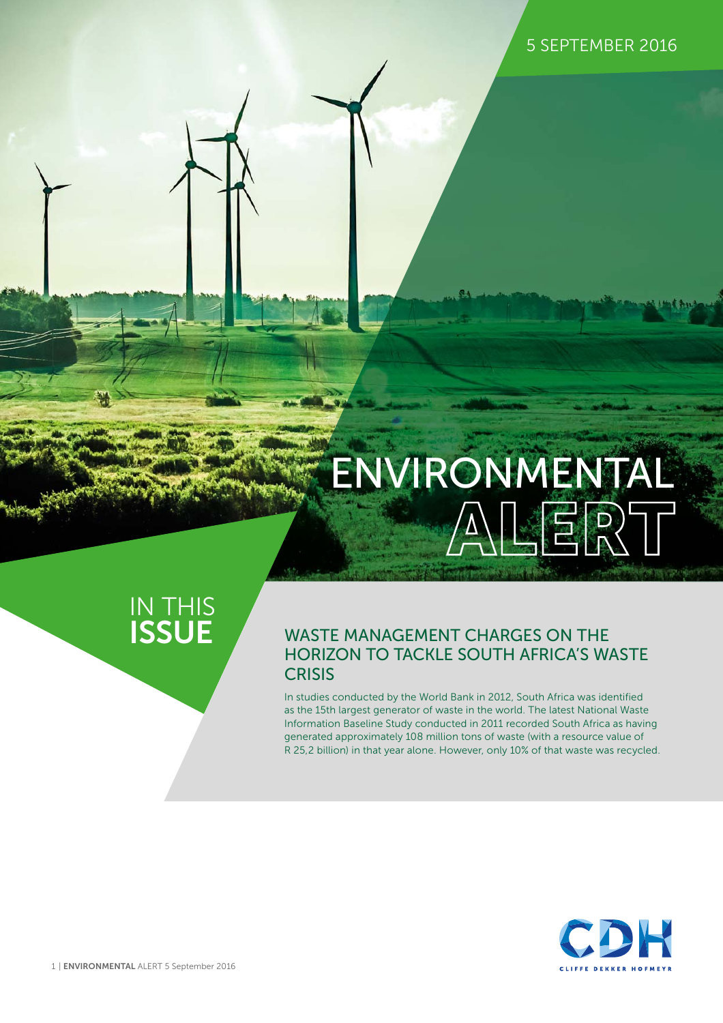# **ALERT** ENVIRONMENTAL

### IN THIS **ISSUE**

### WASTE MANAGEMENT CHARGES ON THE HORIZON TO TACKLE SOUTH AFRICA'S WASTE **CRISIS**

In studies conducted by the World Bank in 2012, South Africa was identified as the 15th largest generator of waste in the world. The latest National Waste Information Baseline Study conducted in 2011 recorded South Africa as having generated approximately 108 million tons of waste (with a resource value of R 25,2 billion) in that year alone. However, only 10% of that waste was recycled.

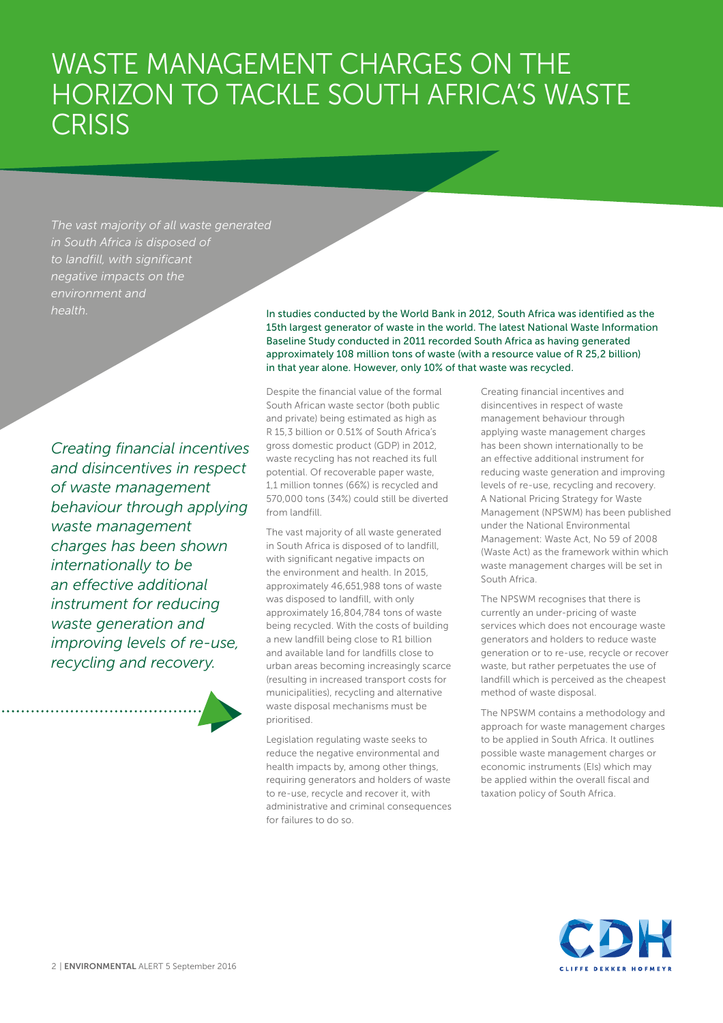## WASTE MANAGEMENT CHARGES ON THE HORIZON TO TACKLE SOUTH AFRICA'S WASTE **CRISIS**

*The vast majority of all waste generated in South Africa is disposed of to landfill, with significant negative impacts on the environment and* 

*Creating financial incentives and disincentives in respect of waste management behaviour through applying waste management charges has been shown internationally to be an effective additional instrument for reducing waste generation and improving levels of re-use, recycling and recovery.* 

*health.* In studies conducted by the World Bank in 2012, South Africa was identified as the 15th largest generator of waste in the world. The latest National Waste Information Baseline Study conducted in 2011 recorded South Africa as having generated approximately 108 million tons of waste (with a resource value of R 25,2 billion) in that year alone. However, only 10% of that waste was recycled.

> Despite the financial value of the formal South African waste sector (both public and private) being estimated as high as R 15,3 billion or 0.51% of South Africa's gross domestic product (GDP) in 2012, waste recycling has not reached its full potential. Of recoverable paper waste, 1,1 million tonnes (66%) is recycled and 570,000 tons (34%) could still be diverted from landfill.

The vast majority of all waste generated in South Africa is disposed of to landfill, with significant negative impacts on the environment and health. In 2015, approximately 46,651,988 tons of waste was disposed to landfill, with only approximately 16,804,784 tons of waste being recycled. With the costs of building a new landfill being close to R1 billion and available land for landfills close to urban areas becoming increasingly scarce (resulting in increased transport costs for municipalities), recycling and alternative waste disposal mechanisms must be prioritised.

Legislation regulating waste seeks to reduce the negative environmental and health impacts by, among other things, requiring generators and holders of waste to re-use, recycle and recover it, with administrative and criminal consequences for failures to do so.

Creating financial incentives and disincentives in respect of waste management behaviour through applying waste management charges has been shown internationally to be an effective additional instrument for reducing waste generation and improving levels of re-use, recycling and recovery. A National Pricing Strategy for Waste Management (NPSWM) has been published under the National Environmental Management: Waste Act, No 59 of 2008 (Waste Act) as the framework within which waste management charges will be set in South Africa.

The NPSWM recognises that there is currently an under-pricing of waste services which does not encourage waste generators and holders to reduce waste generation or to re-use, recycle or recover waste, but rather perpetuates the use of landfill which is perceived as the cheapest method of waste disposal.

The NPSWM contains a methodology and approach for waste management charges to be applied in South Africa. It outlines possible waste management charges or economic instruments (EIs) which may be applied within the overall fiscal and taxation policy of South Africa.

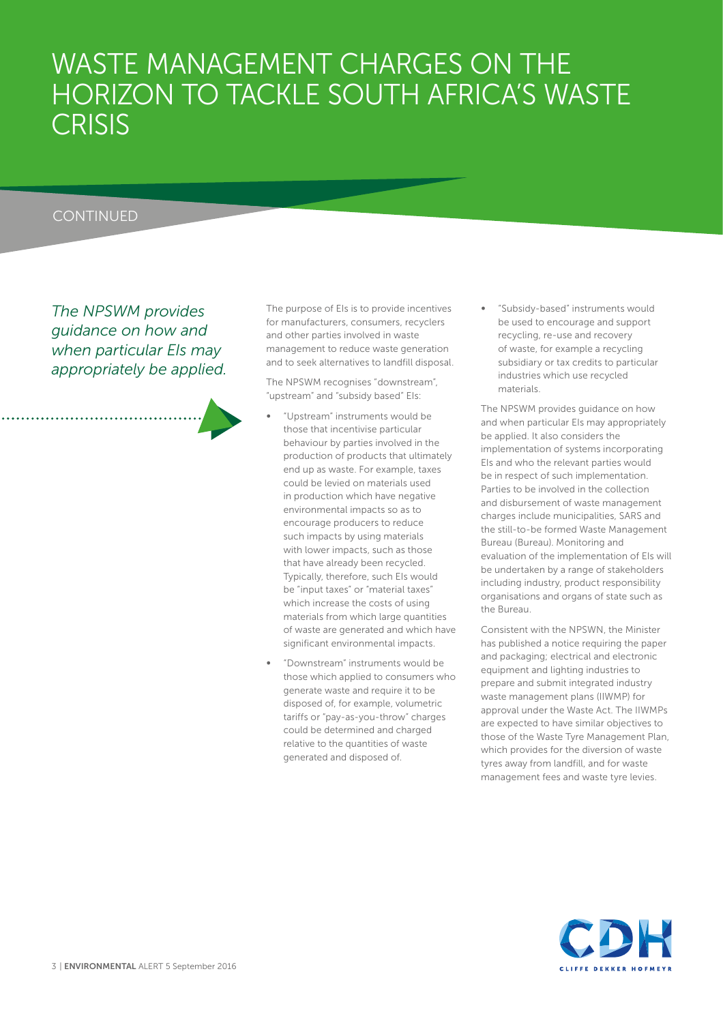## WASTE MANAGEMENT CHARGES ON THE HORIZON TO TACKLE SOUTH AFRICA'S WASTE **CRISIS**

### **CONTINUED**

*The NPSWM provides guidance on how and when particular EIs may appropriately be applied.*  The purpose of EIs is to provide incentives for manufacturers, consumers, recyclers and other parties involved in waste management to reduce waste generation and to seek alternatives to landfill disposal.

The NPSWM recognises "downstream", "upstream" and "subsidy based" EIs:

- ∞ "Upstream" instruments would be those that incentivise particular behaviour by parties involved in the production of products that ultimately end up as waste. For example, taxes could be levied on materials used in production which have negative environmental impacts so as to encourage producers to reduce such impacts by using materials with lower impacts, such as those that have already been recycled. Typically, therefore, such EIs would be "input taxes" or "material taxes" which increase the costs of using materials from which large quantities of waste are generated and which have significant environmental impacts.
- ∞ "Downstream" instruments would be those which applied to consumers who generate waste and require it to be disposed of, for example, volumetric tariffs or "pay-as-you-throw" charges could be determined and charged relative to the quantities of waste generated and disposed of.

∞ "Subsidy-based" instruments would be used to encourage and support recycling, re-use and recovery of waste, for example a recycling subsidiary or tax credits to particular industries which use recycled materials.

The NPSWM provides guidance on how and when particular EIs may appropriately be applied. It also considers the implementation of systems incorporating EIs and who the relevant parties would be in respect of such implementation. Parties to be involved in the collection and disbursement of waste management charges include municipalities, SARS and the still-to-be formed Waste Management Bureau (Bureau). Monitoring and evaluation of the implementation of EIs will be undertaken by a range of stakeholders including industry, product responsibility organisations and organs of state such as the Bureau.

Consistent with the NPSWN, the Minister has published a notice requiring the paper and packaging; electrical and electronic equipment and lighting industries to prepare and submit integrated industry waste management plans (IIWMP) for approval under the Waste Act. The IIWMPs are expected to have similar objectives to those of the Waste Tyre Management Plan, which provides for the diversion of waste tyres away from landfill, and for waste management fees and waste tyre levies.

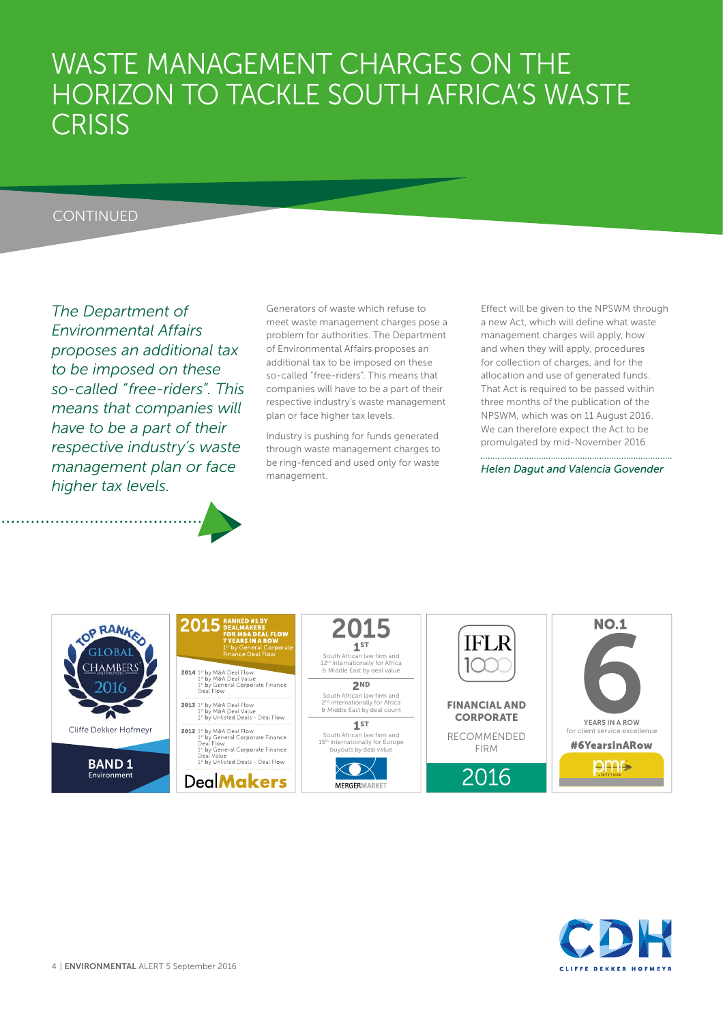## WASTE MANAGEMENT CHARGES ON THE HORIZON TO TACKLE SOUTH AFRICA'S WASTE **CRISIS**

### **CONTINUED**

*The Department of Environmental Affairs proposes an additional tax to be imposed on these so-called "free-riders". This means that companies will have to be a part of their respective industry's waste management plan or face higher tax levels.* 

Generators of waste which refuse to meet waste management charges pose a problem for authorities. The Department of Environmental Affairs proposes an additional tax to be imposed on these so-called "free-riders". This means that companies will have to be a part of their respective industry's waste management plan or face higher tax levels.

Industry is pushing for funds generated through waste management charges to be ring-fenced and used only for waste management.

Effect will be given to the NPSWM through a new Act, which will define what waste management charges will apply, how and when they will apply, procedures for collection of charges, and for the allocation and use of generated funds. That Act is required to be passed within three months of the publication of the NPSWM, which was on 11 August 2016. We can therefore expect the Act to be promulgated by mid-November 2016.

*Helen Dagut and Valencia Govender*



## 2015

2014 <sup>1st</sup> by M&A Deal Flow<br>
<sup>1st</sup> by M&A Deal Value<br>
<sup>1st</sup> by General Corporate Finance<br>
Deal Flow

**DealMakers** 

**2015 1ST** South African law firm and 12<sup>th</sup> internationally for Africa<br>& Middle East by deal value **2ND**

South African law firm and<br>2<sup>nd</sup> internationally for Africa<br>& Middle East by deal count **1ST**

South African law firm and<br>15<sup>th</sup> internationally for Europe<br>buyouts by deal value



**IFLR** 

**FINANCIAL AND CORPORATE**

RECOMMENDED FIRM

2016